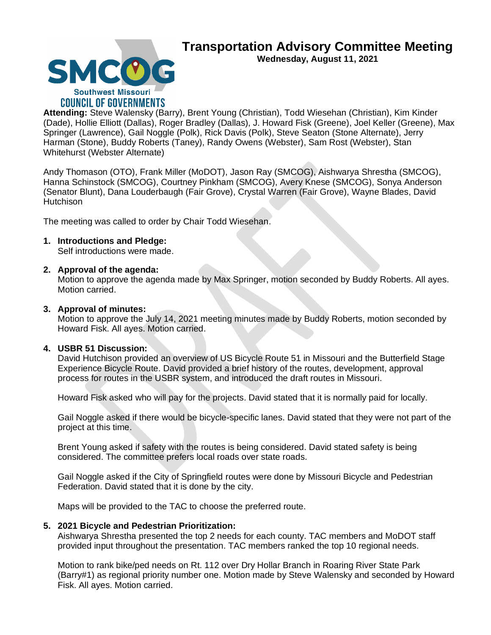

**SMCO Southwest Missouri COUNCIL OF GOVERNMENTS** 

**Wednesday, August 11, 2021**

**Attending:** Steve Walensky (Barry), Brent Young (Christian), Todd Wiesehan (Christian), Kim Kinder (Dade), Hollie Elliott (Dallas), Roger Bradley (Dallas), J. Howard Fisk (Greene), Joel Keller (Greene), Max Springer (Lawrence), Gail Noggle (Polk), Rick Davis (Polk), Steve Seaton (Stone Alternate), Jerry Harman (Stone), Buddy Roberts (Taney), Randy Owens (Webster), Sam Rost (Webster), Stan Whitehurst (Webster Alternate)

Andy Thomason (OTO), Frank Miller (MoDOT), Jason Ray (SMCOG), Aishwarya Shrestha (SMCOG), Hanna Schinstock (SMCOG), Courtney Pinkham (SMCOG), Avery Knese (SMCOG), Sonya Anderson (Senator Blunt), Dana Louderbaugh (Fair Grove), Crystal Warren (Fair Grove), Wayne Blades, David **Hutchison** 

The meeting was called to order by Chair Todd Wiesehan.

# **1. Introductions and Pledge:**

Self introductions were made.

## **2. Approval of the agenda:**

Motion to approve the agenda made by Max Springer, motion seconded by Buddy Roberts. All ayes. Motion carried.

## **3. Approval of minutes:**

Motion to approve the July 14, 2021 meeting minutes made by Buddy Roberts, motion seconded by Howard Fisk. All ayes. Motion carried.

# **4. USBR 51 Discussion:**

David Hutchison provided an overview of US Bicycle Route 51 in Missouri and the Butterfield Stage Experience Bicycle Route. David provided a brief history of the routes, development, approval process for routes in the USBR system, and introduced the draft routes in Missouri.

Howard Fisk asked who will pay for the projects. David stated that it is normally paid for locally.

Gail Noggle asked if there would be bicycle-specific lanes. David stated that they were not part of the project at this time.

Brent Young asked if safety with the routes is being considered. David stated safety is being considered. The committee prefers local roads over state roads.

Gail Noggle asked if the City of Springfield routes were done by Missouri Bicycle and Pedestrian Federation. David stated that it is done by the city.

Maps will be provided to the TAC to choose the preferred route.

#### **5. 2021 Bicycle and Pedestrian Prioritization:**

Aishwarya Shrestha presented the top 2 needs for each county. TAC members and MoDOT staff provided input throughout the presentation. TAC members ranked the top 10 regional needs.

Motion to rank bike/ped needs on Rt. 112 over Dry Hollar Branch in Roaring River State Park (Barry#1) as regional priority number one. Motion made by Steve Walensky and seconded by Howard Fisk. All ayes. Motion carried.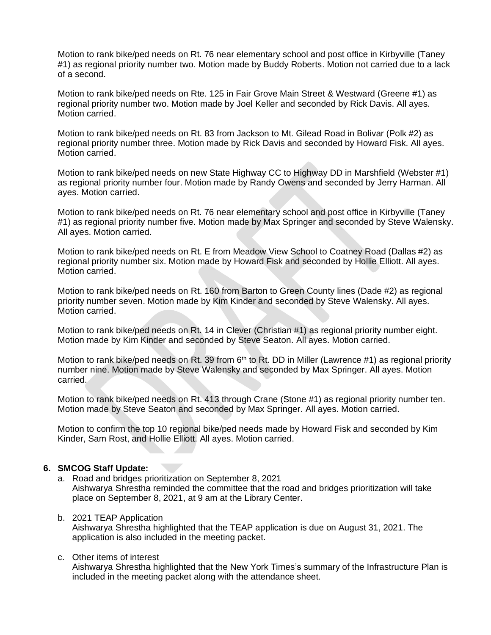Motion to rank bike/ped needs on Rt. 76 near elementary school and post office in Kirbyville (Taney #1) as regional priority number two. Motion made by Buddy Roberts. Motion not carried due to a lack of a second.

Motion to rank bike/ped needs on Rte. 125 in Fair Grove Main Street & Westward (Greene #1) as regional priority number two. Motion made by Joel Keller and seconded by Rick Davis. All ayes. Motion carried.

Motion to rank bike/ped needs on Rt. 83 from Jackson to Mt. Gilead Road in Bolivar (Polk #2) as regional priority number three. Motion made by Rick Davis and seconded by Howard Fisk. All ayes. Motion carried.

Motion to rank bike/ped needs on new State Highway CC to Highway DD in Marshfield (Webster #1) as regional priority number four. Motion made by Randy Owens and seconded by Jerry Harman. All ayes. Motion carried.

Motion to rank bike/ped needs on Rt. 76 near elementary school and post office in Kirbyville (Taney #1) as regional priority number five. Motion made by Max Springer and seconded by Steve Walensky. All ayes. Motion carried.

Motion to rank bike/ped needs on Rt. E from Meadow View School to Coatney Road (Dallas #2) as regional priority number six. Motion made by Howard Fisk and seconded by Hollie Elliott. All ayes. Motion carried.

Motion to rank bike/ped needs on Rt. 160 from Barton to Green County lines (Dade #2) as regional priority number seven. Motion made by Kim Kinder and seconded by Steve Walensky. All ayes. Motion carried.

Motion to rank bike/ped needs on Rt. 14 in Clever (Christian #1) as regional priority number eight. Motion made by Kim Kinder and seconded by Steve Seaton. All ayes. Motion carried.

Motion to rank bike/ped needs on Rt. 39 from  $6<sup>th</sup>$  to Rt. DD in Miller (Lawrence #1) as regional priority number nine. Motion made by Steve Walensky and seconded by Max Springer. All ayes. Motion carried.

Motion to rank bike/ped needs on Rt. 413 through Crane (Stone #1) as regional priority number ten. Motion made by Steve Seaton and seconded by Max Springer. All ayes. Motion carried.

Motion to confirm the top 10 regional bike/ped needs made by Howard Fisk and seconded by Kim Kinder, Sam Rost, and Hollie Elliott. All ayes. Motion carried.

#### **6. SMCOG Staff Update:**

a. Road and bridges prioritization on September 8, 2021 Aishwarya Shrestha reminded the committee that the road and bridges prioritization will take place on September 8, 2021, at 9 am at the Library Center.

#### b. 2021 TEAP Application

Aishwarya Shrestha highlighted that the TEAP application is due on August 31, 2021. The application is also included in the meeting packet.

#### c. Other items of interest

Aishwarya Shrestha highlighted that the New York Times's summary of the Infrastructure Plan is included in the meeting packet along with the attendance sheet.